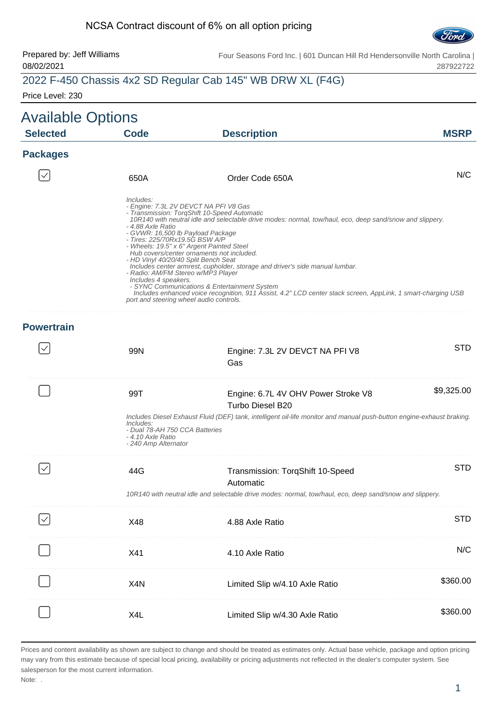#### NCSA Contract discount of 6% on all option pricing



Prepared by: Jeff Williams 08/02/2021 Four Seasons Ford Inc. | 601 Duncan Hill Rd Hendersonville North Carolina | 287922722

## 2022 F-450 Chassis 4x2 SD Regular Cab 145" WB DRW XL (F4G)

Price Level: 230

| <b>Available Options</b> |                                                                                                                                                                                                                                                        |                                                                                                                                                                                                                                                                                                                                                                                                                                                                                                                                             |             |
|--------------------------|--------------------------------------------------------------------------------------------------------------------------------------------------------------------------------------------------------------------------------------------------------|---------------------------------------------------------------------------------------------------------------------------------------------------------------------------------------------------------------------------------------------------------------------------------------------------------------------------------------------------------------------------------------------------------------------------------------------------------------------------------------------------------------------------------------------|-------------|
| <b>Selected</b>          | <b>Code</b>                                                                                                                                                                                                                                            | <b>Description</b>                                                                                                                                                                                                                                                                                                                                                                                                                                                                                                                          | <b>MSRP</b> |
| <b>Packages</b>          |                                                                                                                                                                                                                                                        |                                                                                                                                                                                                                                                                                                                                                                                                                                                                                                                                             |             |
|                          | 650A                                                                                                                                                                                                                                                   | Order Code 650A                                                                                                                                                                                                                                                                                                                                                                                                                                                                                                                             | N/C         |
|                          | Includes:<br>- 4.88 Axle Ratio<br>- GVWR: 16,500 lb Payload Package<br>- Tires: 225/70Rx19.5G BSW A/P<br>- HD Vinyl 40/20/40 Split Bench Seat<br>- Radio: AM/FM Stereo w/MP3 Player<br>Includes 4 speakers.<br>port and steering wheel audio controls. | - Engine: 7.3L 2V DEVCT NA PFI V8 Gas<br>- Transmission: TorqShift 10-Speed Automatic<br>10R140 with neutral idle and selectable drive modes: normal, tow/haul, eco, deep sand/snow and slippery.<br>- Wheels: 19.5" x 6" Argent Painted Steel<br>Hub covers/center ornaments not included.<br>Includes center armrest, cupholder, storage and driver's side manual lumbar.<br>- SYNC Communications & Entertainment System<br>Includes enhanced voice recognition, 911 Ássist, 4.2" LCD center stack screen, AppLink, 1 smart-charging USB |             |
| <b>Powertrain</b>        |                                                                                                                                                                                                                                                        |                                                                                                                                                                                                                                                                                                                                                                                                                                                                                                                                             |             |
|                          | 99N                                                                                                                                                                                                                                                    | Engine: 7.3L 2V DEVCT NA PFI V8<br>Gas                                                                                                                                                                                                                                                                                                                                                                                                                                                                                                      | <b>STD</b>  |
|                          | 99T                                                                                                                                                                                                                                                    | Engine: 6.7L 4V OHV Power Stroke V8<br>Turbo Diesel B20<br>Includes Diesel Exhaust Fluid (DEF) tank, intelligent oil-life monitor and manual push-button engine-exhaust braking.                                                                                                                                                                                                                                                                                                                                                            | \$9,325.00  |
|                          | Includes:<br>- Dual 78-AH 750 CCA Batteries<br>- 4.10 Axle Ratio<br>- 240 Amp Alternator                                                                                                                                                               |                                                                                                                                                                                                                                                                                                                                                                                                                                                                                                                                             |             |
|                          | 44G                                                                                                                                                                                                                                                    | Transmission: TorqShift 10-Speed<br>Automatic                                                                                                                                                                                                                                                                                                                                                                                                                                                                                               | <b>STD</b>  |
|                          |                                                                                                                                                                                                                                                        | 10R140 with neutral idle and selectable drive modes: normal, tow/haul, eco, deep sand/snow and slippery.                                                                                                                                                                                                                                                                                                                                                                                                                                    |             |
|                          | X48                                                                                                                                                                                                                                                    | 4.88 Axle Ratio                                                                                                                                                                                                                                                                                                                                                                                                                                                                                                                             | <b>STD</b>  |
|                          | X41                                                                                                                                                                                                                                                    | 4.10 Axle Ratio                                                                                                                                                                                                                                                                                                                                                                                                                                                                                                                             | N/C         |
|                          | X <sub>4</sub> N                                                                                                                                                                                                                                       | Limited Slip w/4.10 Axle Ratio                                                                                                                                                                                                                                                                                                                                                                                                                                                                                                              | \$360.00    |
|                          | X4L                                                                                                                                                                                                                                                    | Limited Slip w/4.30 Axle Ratio                                                                                                                                                                                                                                                                                                                                                                                                                                                                                                              | \$360.00    |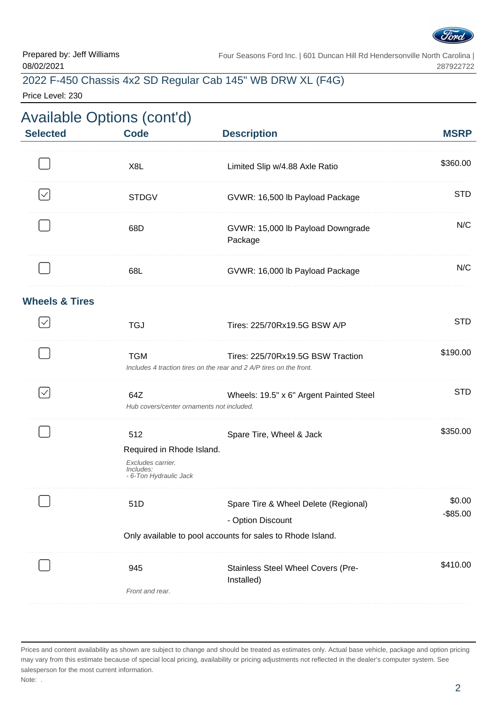

#### 2022 F-450 Chassis 4x2 SD Regular Cab 145" WB DRW XL (F4G)

Price Level: 230

| <b>Selected</b>           | <b>Available Options (cont'd)</b><br><b>Code</b>                                             | <b>Description</b>                                                                                       | <b>MSRP</b>           |
|---------------------------|----------------------------------------------------------------------------------------------|----------------------------------------------------------------------------------------------------------|-----------------------|
|                           | X <sub>8</sub> L                                                                             | Limited Slip w/4.88 Axle Ratio                                                                           | \$360.00              |
|                           | <b>STDGV</b>                                                                                 | GVWR: 16,500 lb Payload Package                                                                          | <b>STD</b>            |
|                           | 68D                                                                                          | GVWR: 15,000 lb Payload Downgrade<br>Package                                                             | N/C                   |
|                           | 68L                                                                                          | GVWR: 16,000 lb Payload Package                                                                          | N/C                   |
| <b>Wheels &amp; Tires</b> |                                                                                              |                                                                                                          |                       |
|                           | <b>TGJ</b>                                                                                   | Tires: 225/70Rx19.5G BSW A/P                                                                             | <b>STD</b>            |
|                           | <b>TGM</b>                                                                                   | Tires: 225/70Rx19.5G BSW Traction<br>Includes 4 traction tires on the rear and 2 A/P tires on the front. | \$190.00              |
| $\checkmark$              | 64Z                                                                                          | Wheels: 19.5" x 6" Argent Painted Steel<br>Hub covers/center ornaments not included.                     | <b>STD</b>            |
|                           | 512<br>Required in Rhode Island.<br>Excludes carrier.<br>Includes:<br>- 6-Ton Hydraulic Jack | Spare Tire, Wheel & Jack                                                                                 | \$350.00              |
|                           | 51D                                                                                          | Spare Tire & Wheel Delete (Regional)<br>- Option Discount                                                | \$0.00<br>$-$ \$85.00 |
|                           |                                                                                              | Only available to pool accounts for sales to Rhode Island.                                               |                       |
|                           | 945<br>Front and rear.                                                                       | Stainless Steel Wheel Covers (Pre-<br>Installed)                                                         | \$410.00              |
|                           |                                                                                              |                                                                                                          |                       |

Prices and content availability as shown are subject to change and should be treated as estimates only. Actual base vehicle, package and option pricing may vary from this estimate because of special local pricing, availability or pricing adjustments not reflected in the dealer's computer system. See salesperson for the most current information. Note: .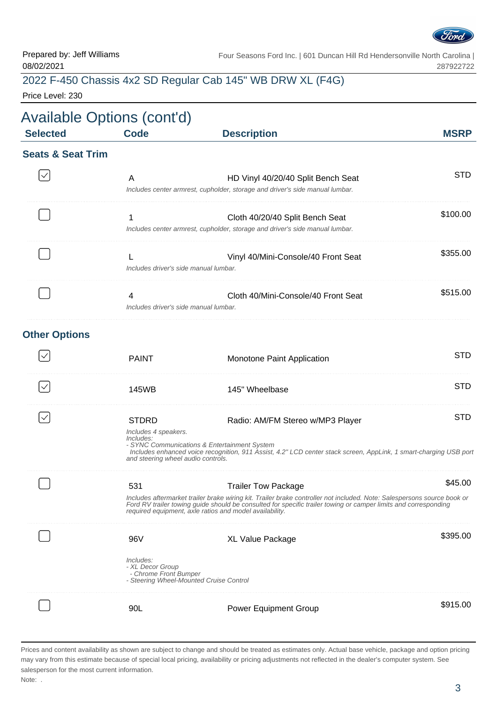

#### 2022 F-450 Chassis 4x2 SD Regular Cab 145" WB DRW XL (F4G)

Price Level: 230

| <b>Available Options (cont'd)</b><br><b>Selected</b> | <b>Code</b>                                | <b>Description</b>                                                                                                 | <b>MSRP</b> |
|------------------------------------------------------|--------------------------------------------|--------------------------------------------------------------------------------------------------------------------|-------------|
| <b>Seats &amp; Seat Trim</b>                         |                                            |                                                                                                                    |             |
|                                                      | A                                          | HD Vinyl 40/20/40 Split Bench Seat<br>Includes center armrest, cupholder, storage and driver's side manual lumbar. | <b>STD</b>  |
|                                                      |                                            | Cloth 40/20/40 Split Bench Seat<br>Includes center armrest, cupholder, storage and driver's side manual lumbar.    | \$100.00    |
|                                                      | Includes driver's side manual lumbar.      | Vinyl 40/Mini-Console/40 Front Seat                                                                                | \$355.00    |
|                                                      | 4<br>Includes driver's side manual lumbar. | Cloth 40/Mini-Console/40 Front Seat                                                                                | \$515.00    |
| <b>Other Options</b>                                 |                                            |                                                                                                                    |             |
|                                                      | <b>PAINT</b>                               | Monotone Paint Application                                                                                         | <b>STD</b>  |
|                                                      | 145WB                                      | 145" Wheelbase                                                                                                     | <b>STD</b>  |

| <b>STDRD</b>                                                                                      | Radio: AM/FM Stereo w/MP3 Player                                                                                                                                                                                                           | STD      |
|---------------------------------------------------------------------------------------------------|--------------------------------------------------------------------------------------------------------------------------------------------------------------------------------------------------------------------------------------------|----------|
| Includes 4 speakers.<br>Includes:                                                                 |                                                                                                                                                                                                                                            |          |
| - SYNC Communications & Entertainment System<br>and steering wheel audio controls.                | Includes enhanced voice recognition, 911 Assist, 4.2" LCD center stack screen, AppLink, 1 smart-charging USB port                                                                                                                          |          |
| 531                                                                                               | <b>Trailer Tow Package</b>                                                                                                                                                                                                                 | \$45.00  |
| required equipment, axle ratios and model availability.                                           | Includes aftermarket trailer brake wiring kit. Trailer brake controller not included. Note: Salespersons source book or<br>Ford RV trailer towing guide should be consulted for specific trailer towing or camper limits and corresponding |          |
| 96V                                                                                               | <b>XL Value Package</b>                                                                                                                                                                                                                    | \$395.00 |
| Includes:<br>- XL Decor Group<br>- Chrome Front Bumper<br>- Steering Wheel-Mounted Cruise Control |                                                                                                                                                                                                                                            |          |
| 901                                                                                               | <b>Power Equipment Group</b>                                                                                                                                                                                                               | \$915.00 |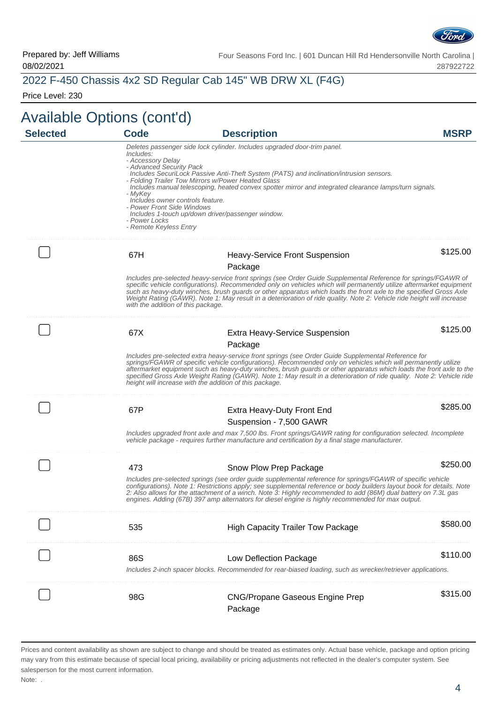

## 2022 F-450 Chassis 4x2 SD Regular Cab 145" WB DRW XL (F4G)

Price Level: 230

| <b>Selected</b> | <b>Code</b>                                   | <b>Description</b>                                                                                                                                                                                                                                                                                                                                                                                                                                                                                                                | <b>MSRP</b> |
|-----------------|-----------------------------------------------|-----------------------------------------------------------------------------------------------------------------------------------------------------------------------------------------------------------------------------------------------------------------------------------------------------------------------------------------------------------------------------------------------------------------------------------------------------------------------------------------------------------------------------------|-------------|
|                 |                                               |                                                                                                                                                                                                                                                                                                                                                                                                                                                                                                                                   |             |
|                 | Includes:                                     | Deletes passenger side lock cylinder. Includes upgraded door-trim panel.                                                                                                                                                                                                                                                                                                                                                                                                                                                          |             |
|                 | - Accessory Delay<br>- Advanced Security Pack |                                                                                                                                                                                                                                                                                                                                                                                                                                                                                                                                   |             |
|                 |                                               | Includes SecuriLock Passive Anti-Theft System (PATS) and inclination/intrusion sensors.<br>- Folding Trailer Tow Mirrors w/Power Heated Glass                                                                                                                                                                                                                                                                                                                                                                                     |             |
|                 |                                               | Includes manual telescoping, heated convex spotter mirror and integrated clearance lamps/turn signals.                                                                                                                                                                                                                                                                                                                                                                                                                            |             |
|                 | - MyKey<br>Includes owner controls feature.   |                                                                                                                                                                                                                                                                                                                                                                                                                                                                                                                                   |             |
|                 | - Power Front Side Windows                    |                                                                                                                                                                                                                                                                                                                                                                                                                                                                                                                                   |             |
|                 | - Power Locks                                 | Includes 1-touch up/down driver/passenger window.                                                                                                                                                                                                                                                                                                                                                                                                                                                                                 |             |
|                 | - Remote Keyless Entry                        |                                                                                                                                                                                                                                                                                                                                                                                                                                                                                                                                   |             |
|                 | 67H                                           | <b>Heavy-Service Front Suspension</b>                                                                                                                                                                                                                                                                                                                                                                                                                                                                                             | \$125.00    |
|                 |                                               | Package                                                                                                                                                                                                                                                                                                                                                                                                                                                                                                                           |             |
|                 |                                               | Includes pre-selected heavy-service front springs (see Order Guide Supplemental Reference for springs/FGAWR of                                                                                                                                                                                                                                                                                                                                                                                                                    |             |
|                 | with the addition of this package.            | specific vehicle configurations). Recommended only on vehicles which will permanently utilize aftermarket equipment<br>such as heavy-duty winches, brush guards or other apparatus which loads the front axle to the specified Gross Axle<br>Weight Rating (GAWR). Note 1: May result in a deterioration of ride quality. Note 2: Vehicle ride height will increase                                                                                                                                                               |             |
|                 |                                               |                                                                                                                                                                                                                                                                                                                                                                                                                                                                                                                                   | \$125.00    |
|                 | 67X                                           | <b>Extra Heavy-Service Suspension</b>                                                                                                                                                                                                                                                                                                                                                                                                                                                                                             |             |
|                 |                                               | Package                                                                                                                                                                                                                                                                                                                                                                                                                                                                                                                           |             |
|                 |                                               | Includes pre-selected extra heavy-service front springs (see Order Guide Supplemental Reference for<br>springs/FGAWR of specific vehicle configurations). Recommended only on vehicles which will permanently utilize<br>aftermarket equipment such as heavy-duty winches, brush guards or other apparatus which loads the front axle to the<br>specified Gross Axle Weight Rating (GAWR). Note 1: May result in a deterioration of ride quality. Note 2: Vehicle ride<br>height will increase with the addition of this package. |             |
|                 | 67P                                           | Extra Heavy-Duty Front End                                                                                                                                                                                                                                                                                                                                                                                                                                                                                                        | \$285.00    |
|                 |                                               | Suspension - 7,500 GAWR                                                                                                                                                                                                                                                                                                                                                                                                                                                                                                           |             |
|                 |                                               | Includes upgraded front axle and max 7,500 lbs. Front springs/GAWR rating for configuration selected. Incomplete<br>vehicle package - requires further manufacture and certification by a final stage manufacturer.                                                                                                                                                                                                                                                                                                               |             |
|                 | 473                                           | Snow Plow Prep Package                                                                                                                                                                                                                                                                                                                                                                                                                                                                                                            | \$250.00    |
|                 |                                               | Includes pre-selected springs (see order guide supplemental reference for springs/FGAWR of specific vehicle                                                                                                                                                                                                                                                                                                                                                                                                                       |             |
|                 |                                               | contigurations). Note 1: Restrictions apply; see supplemental reference or body builders layout book for details. Note<br>2: Also allows for the attachment of a winch. Note 3: Highly recommended to add (86M) dual battery on 7.3L gas<br>engines. Adding (67B) 397 amp alternators for diesel engine is highly recommended for max output.                                                                                                                                                                                     |             |
|                 | 535                                           | <b>High Capacity Trailer Tow Package</b>                                                                                                                                                                                                                                                                                                                                                                                                                                                                                          | \$580.00    |
|                 |                                               |                                                                                                                                                                                                                                                                                                                                                                                                                                                                                                                                   |             |
|                 | 86S                                           | Low Deflection Package                                                                                                                                                                                                                                                                                                                                                                                                                                                                                                            | \$110.00    |
|                 |                                               | Includes 2-inch spacer blocks. Recommended for rear-biased loading, such as wrecker/retriever applications.                                                                                                                                                                                                                                                                                                                                                                                                                       |             |
|                 |                                               |                                                                                                                                                                                                                                                                                                                                                                                                                                                                                                                                   |             |
|                 | 98G                                           | <b>CNG/Propane Gaseous Engine Prep</b><br>Package                                                                                                                                                                                                                                                                                                                                                                                                                                                                                 | \$315.00    |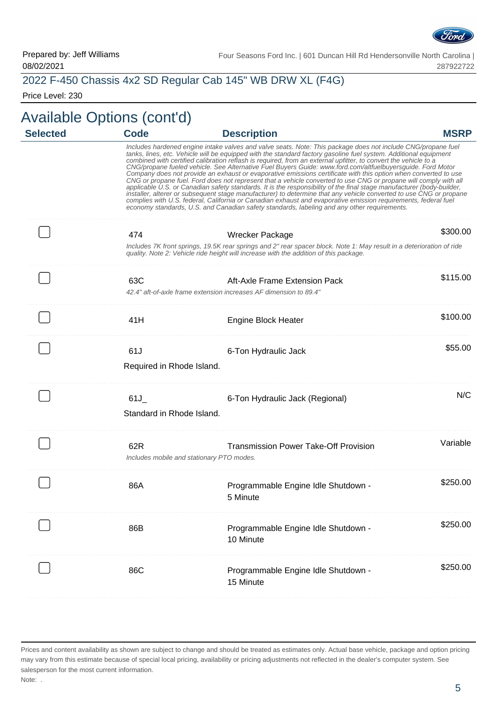

#### 2022 F-450 Chassis 4x2 SD Regular Cab 145" WB DRW XL (F4G)

Price Level: 230

# Available Options (cont'd)

| <b>Selected</b> | <b>Code</b>                               | <b>Description</b>                                                                                                                                                                                                                                                                                                                                                                                                                                                                                                                                                                                                                                                                                                                                                                                                                                                                                                                                                                                                                                                                                                                                                       | <b>MSRP</b> |
|-----------------|-------------------------------------------|--------------------------------------------------------------------------------------------------------------------------------------------------------------------------------------------------------------------------------------------------------------------------------------------------------------------------------------------------------------------------------------------------------------------------------------------------------------------------------------------------------------------------------------------------------------------------------------------------------------------------------------------------------------------------------------------------------------------------------------------------------------------------------------------------------------------------------------------------------------------------------------------------------------------------------------------------------------------------------------------------------------------------------------------------------------------------------------------------------------------------------------------------------------------------|-------------|
|                 |                                           | Includes hardened engine intake valves and valve seats. Note: This package does not include CNG/propane fuel<br>tanks, lines, etc. Vehicle will be equipped with the standard factory gasoline fuel system. Additional equipment<br>combined with certified calibration reflash is required, from an external upfitter, to convert the vehicle to a<br>CNG/propane fueled vehicle. See Alternative Fuel Buyers Guide: www.ford.com/altfuelbuyersguide. Ford Motor<br>Company does not provide an exhaust or evaporative emissions certificate with this option when converted to use<br>CNG or propane fuel. Ford does not represent that a vehicle converted to use CNG or propane will comply with all<br>applicable U.S. or Canadian safety standards. It is the responsibility of the final stage manufacturer (body-builder,<br>installer, alterer or subsequent stage manufacturer) to determine that any vehicle converted to use CNG or propane<br>complies with U.S. federal, California or Canadian exhaust and evaporative emission requirements, federal fuel<br>economy standards, U.S. and Canadian safety standards, labeling and any other requirements. |             |
|                 | 474                                       | Wrecker Package                                                                                                                                                                                                                                                                                                                                                                                                                                                                                                                                                                                                                                                                                                                                                                                                                                                                                                                                                                                                                                                                                                                                                          | \$300.00    |
|                 |                                           | Includes 7K front springs, 19.5K rear springs and 2" rear spacer block. Note 1: May result in a deterioration of ride<br>quality. Note 2: Vehicle ride height will increase with the addition of this package.                                                                                                                                                                                                                                                                                                                                                                                                                                                                                                                                                                                                                                                                                                                                                                                                                                                                                                                                                           |             |
|                 | 63C                                       | Aft-Axle Frame Extension Pack                                                                                                                                                                                                                                                                                                                                                                                                                                                                                                                                                                                                                                                                                                                                                                                                                                                                                                                                                                                                                                                                                                                                            | \$115.00    |
|                 |                                           | 42.4" aft-of-axle frame extension increases AF dimension to 89.4"                                                                                                                                                                                                                                                                                                                                                                                                                                                                                                                                                                                                                                                                                                                                                                                                                                                                                                                                                                                                                                                                                                        |             |
|                 | 41H                                       | <b>Engine Block Heater</b>                                                                                                                                                                                                                                                                                                                                                                                                                                                                                                                                                                                                                                                                                                                                                                                                                                                                                                                                                                                                                                                                                                                                               | \$100.00    |
|                 | 61J                                       | 6-Ton Hydraulic Jack                                                                                                                                                                                                                                                                                                                                                                                                                                                                                                                                                                                                                                                                                                                                                                                                                                                                                                                                                                                                                                                                                                                                                     | \$55.00     |
|                 | Required in Rhode Island.                 |                                                                                                                                                                                                                                                                                                                                                                                                                                                                                                                                                                                                                                                                                                                                                                                                                                                                                                                                                                                                                                                                                                                                                                          |             |
|                 | 61J                                       | 6-Ton Hydraulic Jack (Regional)                                                                                                                                                                                                                                                                                                                                                                                                                                                                                                                                                                                                                                                                                                                                                                                                                                                                                                                                                                                                                                                                                                                                          | N/C         |
|                 | Standard in Rhode Island.                 |                                                                                                                                                                                                                                                                                                                                                                                                                                                                                                                                                                                                                                                                                                                                                                                                                                                                                                                                                                                                                                                                                                                                                                          |             |
|                 | 62R                                       | <b>Transmission Power Take-Off Provision</b>                                                                                                                                                                                                                                                                                                                                                                                                                                                                                                                                                                                                                                                                                                                                                                                                                                                                                                                                                                                                                                                                                                                             | Variable    |
|                 | Includes mobile and stationary PTO modes. |                                                                                                                                                                                                                                                                                                                                                                                                                                                                                                                                                                                                                                                                                                                                                                                                                                                                                                                                                                                                                                                                                                                                                                          |             |
|                 | 86A                                       | Programmable Engine Idle Shutdown -                                                                                                                                                                                                                                                                                                                                                                                                                                                                                                                                                                                                                                                                                                                                                                                                                                                                                                                                                                                                                                                                                                                                      | \$250.00    |
|                 |                                           | 5 Minute                                                                                                                                                                                                                                                                                                                                                                                                                                                                                                                                                                                                                                                                                                                                                                                                                                                                                                                                                                                                                                                                                                                                                                 |             |
|                 | 86B                                       | Programmable Engine Idle Shutdown -                                                                                                                                                                                                                                                                                                                                                                                                                                                                                                                                                                                                                                                                                                                                                                                                                                                                                                                                                                                                                                                                                                                                      | \$250.00    |
|                 |                                           | 10 Minute                                                                                                                                                                                                                                                                                                                                                                                                                                                                                                                                                                                                                                                                                                                                                                                                                                                                                                                                                                                                                                                                                                                                                                |             |
|                 | 86C                                       | Programmable Engine Idle Shutdown -                                                                                                                                                                                                                                                                                                                                                                                                                                                                                                                                                                                                                                                                                                                                                                                                                                                                                                                                                                                                                                                                                                                                      | \$250.00    |
|                 |                                           | 15 Minute                                                                                                                                                                                                                                                                                                                                                                                                                                                                                                                                                                                                                                                                                                                                                                                                                                                                                                                                                                                                                                                                                                                                                                |             |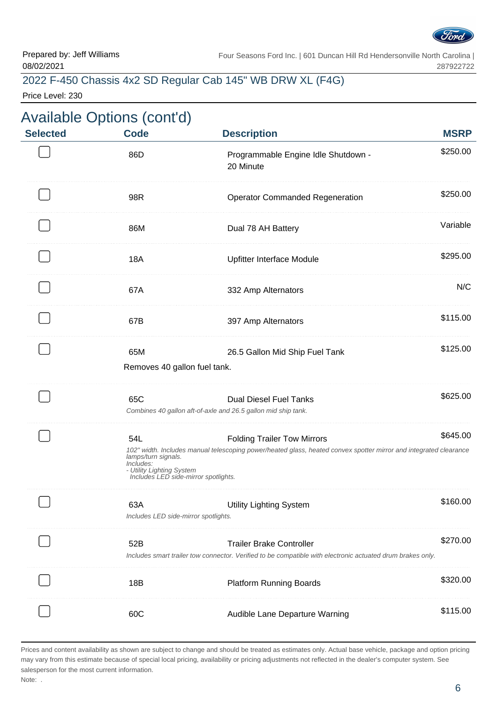

#### 2022 F-450 Chassis 4x2 SD Regular Cab 145" WB DRW XL (F4G)

Price Level: 230

## Available Options (cont'd) **Selected Code Description MSRP** \$250.00 86D Programmable Engine Idle Shutdown -20 Minute 98R **Operator Commanded Regeneration** \$250.00 86M Dual 78 AH Battery **Variable** 18A Cupfitter Interface Module **\$295.00** 67A 332 Amp Alternators N/C 67B 397 Amp Alternators \$115.00 . . . . . . . . . . . . . . . . 65M 26.5 Gallon Mid Ship Fuel Tank \$125.00 Removes 40 gallon fuel tank. 65C Dual Diesel Fuel Tanks \$625.00 Combines 40 gallon aft-of-axle and 26.5 gallon mid ship tank. 54L **Folding Trailer Tow Mirrors** 645.00 102" width. Includes manual telescoping power/heated glass, heated convex spotter mirror and integrated clearance lamps/turn signals. Includes: - Utility Lighting System Includes LED side-mirror spotlights. . . . . . . . . . . . . . . . . 63A **Utility Lighting System 63A** \$160.00 Includes LED side-mirror spotlights. 52B Trailer Brake Controller **\$270.00** Includes smart trailer tow connector. Verified to be compatible with electronic actuated drum brakes only. 18B **Platform Running Boards 18B** \$320.00 . . . . . . . . . . . . . . . 60C Audible Lane Departure Warning \$115.00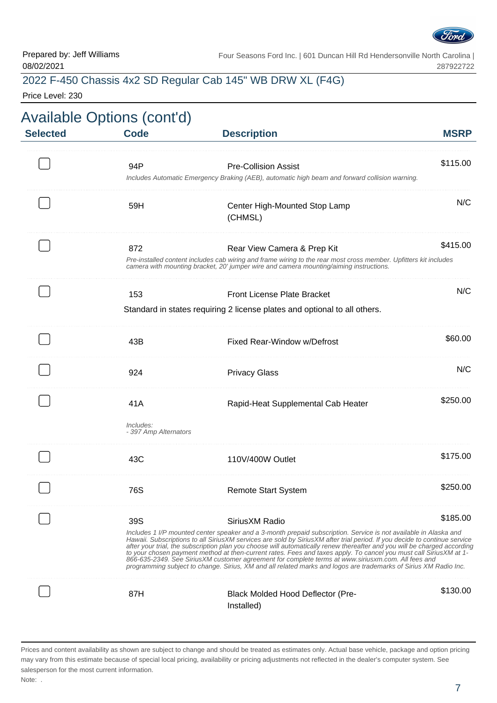

#### 2022 F-450 Chassis 4x2 SD Regular Cab 145" WB DRW XL (F4G)

Price Level: 230

|                 | <b>Available Options (cont'd)</b>         |                                                                                                                                                                                                                                                                                                                                                                                                                                                                                                                                                                                                                                                                                                                                             |             |
|-----------------|-------------------------------------------|---------------------------------------------------------------------------------------------------------------------------------------------------------------------------------------------------------------------------------------------------------------------------------------------------------------------------------------------------------------------------------------------------------------------------------------------------------------------------------------------------------------------------------------------------------------------------------------------------------------------------------------------------------------------------------------------------------------------------------------------|-------------|
| <b>Selected</b> | <b>Code</b>                               | <b>Description</b>                                                                                                                                                                                                                                                                                                                                                                                                                                                                                                                                                                                                                                                                                                                          | <b>MSRP</b> |
|                 | 94P                                       | <b>Pre-Collision Assist</b><br>Includes Automatic Emergency Braking (AEB), automatic high beam and forward collision warning.                                                                                                                                                                                                                                                                                                                                                                                                                                                                                                                                                                                                               | \$115.00    |
|                 | 59H                                       | Center High-Mounted Stop Lamp<br>(CHMSL)                                                                                                                                                                                                                                                                                                                                                                                                                                                                                                                                                                                                                                                                                                    | N/C         |
|                 | 872                                       | Rear View Camera & Prep Kit<br>Pre-installed content includes cab wiring and frame wiring to the rear most cross member. Upfitters kit includes<br>camera with mounting bracket, 20' jumper wire and camera mounting/aiming instructions.                                                                                                                                                                                                                                                                                                                                                                                                                                                                                                   | \$415.00    |
|                 | 153                                       | <b>Front License Plate Bracket</b><br>Standard in states requiring 2 license plates and optional to all others.                                                                                                                                                                                                                                                                                                                                                                                                                                                                                                                                                                                                                             | N/C         |
|                 | 43B                                       | Fixed Rear-Window w/Defrost                                                                                                                                                                                                                                                                                                                                                                                                                                                                                                                                                                                                                                                                                                                 | \$60.00     |
|                 | 924                                       | <b>Privacy Glass</b>                                                                                                                                                                                                                                                                                                                                                                                                                                                                                                                                                                                                                                                                                                                        | N/C         |
|                 | 41A<br>Includes:<br>- 397 Amp Alternators | Rapid-Heat Supplemental Cab Heater                                                                                                                                                                                                                                                                                                                                                                                                                                                                                                                                                                                                                                                                                                          | \$250.00    |
|                 | 43C                                       | 110V/400W Outlet                                                                                                                                                                                                                                                                                                                                                                                                                                                                                                                                                                                                                                                                                                                            | \$175.00    |
|                 | 76S                                       | <b>Remote Start System</b>                                                                                                                                                                                                                                                                                                                                                                                                                                                                                                                                                                                                                                                                                                                  | \$250.00    |
|                 | 39S                                       | Sirius XM Radio<br>Includes 1 I/P mounted center speaker and a 3-month prepaid subscription. Service is not available in Alaska and<br>Hawaii. Subscriptions to all SiriusXM services are sold by SiriusXM after trial period. If you decide to continue service<br>after your trial, the subscription plan you choose will automatically renew thereafter and you will be charged according<br>to your chosen payment method at then-current rates. Fees and taxes apply. To cancel you must call SiriusXM at 1-<br>866-635-2349. See SiriusXM customer agreement for complete terms at www.siriusxm.com. All fees and<br>programming subject to change. Sirius, XM and all related marks and logos are trademarks of Sirius XM Radio Inc. | \$185.00    |
|                 | 87H                                       | <b>Black Molded Hood Deflector (Pre-</b><br>Installed)                                                                                                                                                                                                                                                                                                                                                                                                                                                                                                                                                                                                                                                                                      | \$130.00    |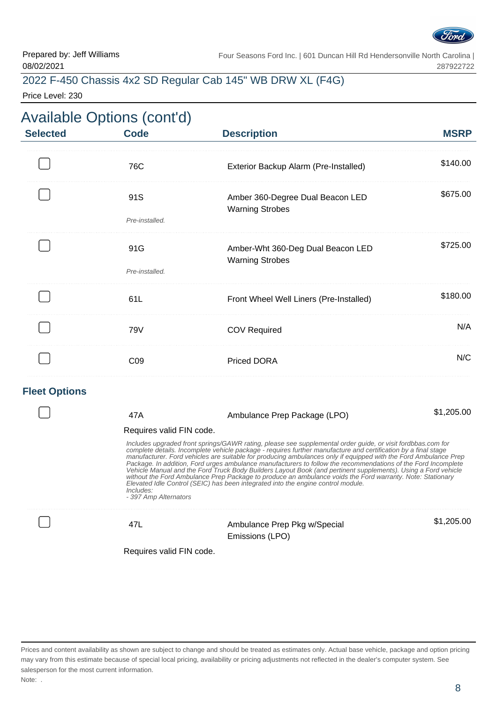

#### 2022 F-450 Chassis 4x2 SD Regular Cab 145" WB DRW XL (F4G)

Price Level: 230

## Available Options (cont'd) **Selected Code Description MSRP** 76C Exterior Backup Alarm (Pre-Installed) \$140.00 . . . . . . . . . . . . . . . . \$675.00 91S Amber 360-Degree Dual Beacon LED Warning Strobes Pre-installed. \$725.00 91G **Amber-Wht 360-Deg Dual Beacon LED** Warning Strobes Pre-installed. 61L Front Wheel Well Liners (Pre-Installed) \$180.00 79V COV Required **N/A** C09 Priced DORA N/C **Fleet Options** 47A Ambulance Prep Package (LPO) \$1,205.00 Requires valid FIN code. Includes upgraded front springs/GAWR rating, please see supplemental order guide, or visit fordbbas.com for complete details. Incomplete vehicle package - requires further manufacture and certification by a final stage

manufacturer. Ford vehicles are suitable for producing ambulances only if equipped with the Ford Ambulance Prep Package. In addition, Ford urges ambulance manufacturers to follow the recommendations of the Ford Incomplete Vehicle Manual and the Ford Truck Body Builders Layout Book (and pertinent supplements). Using a Ford vehicle without the Ford Ambulance Prep Package to produce an ambulance voids the Ford warranty. Note: Stationary Elevated Idle Control (SEIC) has been integrated into the engine control module. Includes:

- 397 Amp Alternators

#### 47L Ambulance Prep Pkg w/Special Emissions (LPO)

Requires valid FIN code.

\$1,205.00

Prices and content availability as shown are subject to change and should be treated as estimates only. Actual base vehicle, package and option pricing may vary from this estimate because of special local pricing, availability or pricing adjustments not reflected in the dealer's computer system. See salesperson for the most current information. Note: .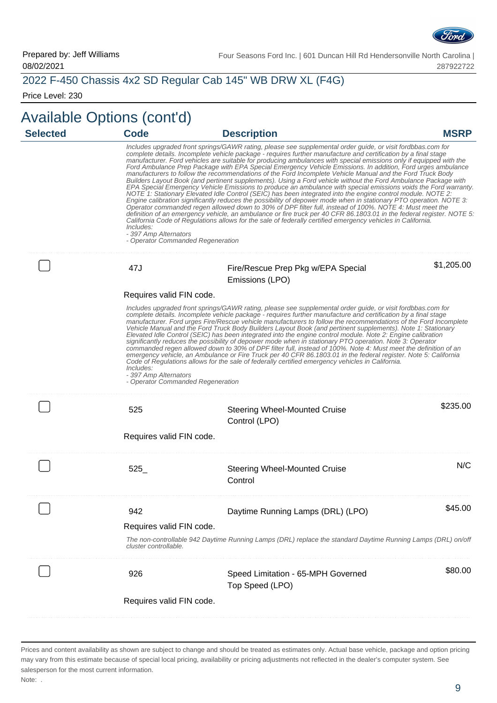

#### 2022 F-450 Chassis 4x2 SD Regular Cab 145" WB DRW XL (F4G)

Price Level: 230

# Available Options (cont'd)

| <b>Selected</b> | <b>Code</b>                                                             | <b>Description</b>                                                                                                                                                                                                                                                                                                                                                                                                                                                                                                                                                                                                                                                                                                                                                                                                                                                                                                                                                                                                                                                                                                                                                                                                                                                                                                                                                                                           | <b>MSRP</b> |
|-----------------|-------------------------------------------------------------------------|--------------------------------------------------------------------------------------------------------------------------------------------------------------------------------------------------------------------------------------------------------------------------------------------------------------------------------------------------------------------------------------------------------------------------------------------------------------------------------------------------------------------------------------------------------------------------------------------------------------------------------------------------------------------------------------------------------------------------------------------------------------------------------------------------------------------------------------------------------------------------------------------------------------------------------------------------------------------------------------------------------------------------------------------------------------------------------------------------------------------------------------------------------------------------------------------------------------------------------------------------------------------------------------------------------------------------------------------------------------------------------------------------------------|-------------|
|                 | Includes:<br>- 397 Amp Alternators<br>- Operator Commanded Regeneration | Includes upgraded front springs/GAWR rating, please see supplemental order guide, or visit fordbbas.com for<br>complete details. Incomplete vehicle package - requires further manufacture and certification by a final stage<br>manufacturer. Ford vehicles are suitable for producing ambulances with special emissions only if equipped with the<br>Ford Ambulance Prep Package with EPA Special Emergency Vehicle Emissions. In addition, Ford urges ambulance<br>manufacturers to follow the recommendations of the Ford Incomplete Vehicle Manual and the Ford Truck Body<br>Builders Layout Book (and pertinent supplements). Using a Ford vehicle without the Ford Ambulance Package with<br>EPA Special Emergency Vehicle Emissions to produce an ambulance with special emissions voids the Ford warranty.<br>NOTE 1: Stationary Elevated Idle Control (SEIC) has been integrated into the engine control module. NOTE 2:<br>Engine calibration significantly reduces the possibility of depower mode when in stationary PTO operation. NOTE 3:<br>Operator commanded regen allowed down to 30% of DPF filter full, instead of 100%. NOTE 4: Must meet the<br>definition of an emergency vehicle, an ambulance or fire truck per 40 CFR 86.1803.01 in the federal register. NOTE 5:<br>California Code of Regulations allows for the sale of federally certified emergency vehicles in California. |             |
|                 | 47J                                                                     | Fire/Rescue Prep Pkg w/EPA Special                                                                                                                                                                                                                                                                                                                                                                                                                                                                                                                                                                                                                                                                                                                                                                                                                                                                                                                                                                                                                                                                                                                                                                                                                                                                                                                                                                           | \$1,205.00  |
|                 |                                                                         | Emissions (LPO)                                                                                                                                                                                                                                                                                                                                                                                                                                                                                                                                                                                                                                                                                                                                                                                                                                                                                                                                                                                                                                                                                                                                                                                                                                                                                                                                                                                              |             |
|                 | Requires valid FIN code.                                                |                                                                                                                                                                                                                                                                                                                                                                                                                                                                                                                                                                                                                                                                                                                                                                                                                                                                                                                                                                                                                                                                                                                                                                                                                                                                                                                                                                                                              |             |
|                 | Includes:<br>- 397 Amp Alternators<br>- Operator Commanded Regeneration | Includes upgraded front springs/GAWR rating, please see supplemental order guide, or visit fordbbas.com for<br>complete details. Incomplete vehicle package - requires further manufacture and certification by a final stage<br>manufacturer. Ford urges Fire/Rescue vehicle manufacturers to follow the recommendations of the Ford Incomplete<br>Vehicle Manual and the Ford Truck Body Builders Layout Book (and pertinent supplements). Note 1: Stationary<br>Elevated Idle Control (SEIC) has been integrated into the engine control module. Note 2: Engine calibration<br>significantly reduces the possibility of depower mode when in stationary PTO operation. Note 3: Operator<br>commanded regen allowed down to 30% of DPF filter full, instead of 100%. Note 4: Must meet the definition of an<br>emergency vehicle, an Ambulance or Fire Truck per 40 CFR 86.1803.01 in the federal register. Note 5: California<br>Code of Regulations allows for the sale of federally certified emergency vehicles in California.                                                                                                                                                                                                                                                                                                                                                                         |             |
|                 | 525<br>Requires valid FIN code.                                         | <b>Steering Wheel-Mounted Cruise</b><br>Control (LPO)                                                                                                                                                                                                                                                                                                                                                                                                                                                                                                                                                                                                                                                                                                                                                                                                                                                                                                                                                                                                                                                                                                                                                                                                                                                                                                                                                        | \$235.00    |
|                 |                                                                         |                                                                                                                                                                                                                                                                                                                                                                                                                                                                                                                                                                                                                                                                                                                                                                                                                                                                                                                                                                                                                                                                                                                                                                                                                                                                                                                                                                                                              |             |
|                 | 525                                                                     | <b>Steering Wheel-Mounted Cruise</b><br>Control                                                                                                                                                                                                                                                                                                                                                                                                                                                                                                                                                                                                                                                                                                                                                                                                                                                                                                                                                                                                                                                                                                                                                                                                                                                                                                                                                              | N/C         |
|                 | 942<br>Requires valid FIN code.                                         | Daytime Running Lamps (DRL) (LPO)                                                                                                                                                                                                                                                                                                                                                                                                                                                                                                                                                                                                                                                                                                                                                                                                                                                                                                                                                                                                                                                                                                                                                                                                                                                                                                                                                                            | \$45.00     |
|                 | cluster controllable.                                                   | The non-controllable 942 Daytime Running Lamps (DRL) replace the standard Daytime Running Lamps (DRL) on/off                                                                                                                                                                                                                                                                                                                                                                                                                                                                                                                                                                                                                                                                                                                                                                                                                                                                                                                                                                                                                                                                                                                                                                                                                                                                                                 |             |
|                 | 926                                                                     | Speed Limitation - 65-MPH Governed<br>Top Speed (LPO)                                                                                                                                                                                                                                                                                                                                                                                                                                                                                                                                                                                                                                                                                                                                                                                                                                                                                                                                                                                                                                                                                                                                                                                                                                                                                                                                                        | \$80.00     |
|                 | Requires valid FIN code.                                                |                                                                                                                                                                                                                                                                                                                                                                                                                                                                                                                                                                                                                                                                                                                                                                                                                                                                                                                                                                                                                                                                                                                                                                                                                                                                                                                                                                                                              |             |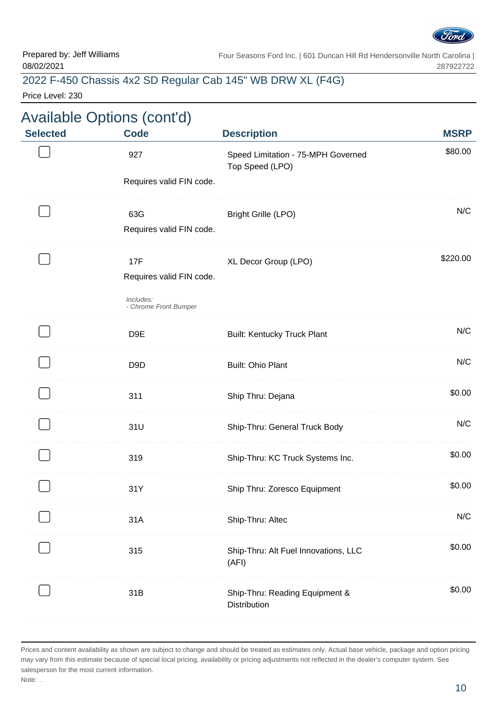

#### 2022 F-450 Chassis 4x2 SD Regular Cab 145" WB DRW XL (F4G)

Price Level: 230

| <b>Selected</b> | <b>Code</b>                        | <b>Description</b>                                    | <b>MSRP</b> |
|-----------------|------------------------------------|-------------------------------------------------------|-------------|
|                 | 927                                | Speed Limitation - 75-MPH Governed<br>Top Speed (LPO) | \$80.00     |
|                 | Requires valid FIN code.           |                                                       |             |
|                 | 63G                                | <b>Bright Grille (LPO)</b>                            | N/C         |
|                 | Requires valid FIN code.           |                                                       |             |
|                 | <b>17F</b>                         | XL Decor Group (LPO)                                  | \$220.00    |
|                 | Requires valid FIN code.           |                                                       |             |
|                 | Includes:<br>- Chrome Front Bumper |                                                       |             |
|                 | D <sub>9E</sub>                    | <b>Built: Kentucky Truck Plant</b>                    | N/C         |
|                 | D <sub>9</sub> D                   | <b>Built: Ohio Plant</b>                              | N/C         |
|                 | 311                                | Ship Thru: Dejana                                     | \$0.00      |
|                 | 31U                                | Ship-Thru: General Truck Body                         | N/C         |
|                 | 319                                | Ship-Thru: KC Truck Systems Inc.                      | \$0.00      |
|                 | 31Y                                | Ship Thru: Zoresco Equipment                          | \$0.00      |
|                 | 31A                                | Ship-Thru: Altec                                      | N/C         |
|                 | 315                                | Ship-Thru: Alt Fuel Innovations, LLC<br>(AFI)         | \$0.00      |
|                 | 31B                                | Ship-Thru: Reading Equipment &<br>Distribution        | \$0.00      |
|                 |                                    |                                                       |             |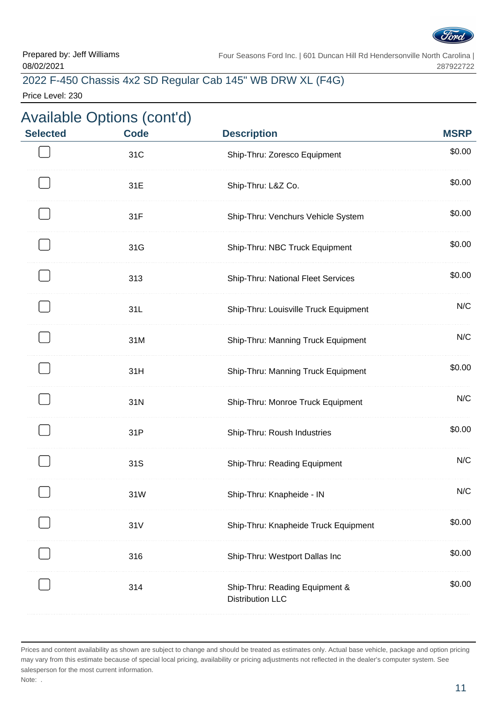

#### 2022 F-450 Chassis 4x2 SD Regular Cab 145" WB DRW XL (F4G)

Price Level: 230

| <b>Selected</b> | <b>Available Options (cont'd)</b><br><b>Code</b> | <b>Description</b>                                        | <b>MSRP</b> |
|-----------------|--------------------------------------------------|-----------------------------------------------------------|-------------|
|                 | 31C                                              | Ship-Thru: Zoresco Equipment                              | \$0.00      |
|                 | 31E                                              | Ship-Thru: L&Z Co.                                        | \$0.00      |
|                 | 31F                                              | Ship-Thru: Venchurs Vehicle System                        | \$0.00      |
|                 | 31G                                              | Ship-Thru: NBC Truck Equipment                            | \$0.00      |
|                 | 313                                              | Ship-Thru: National Fleet Services                        | \$0.00      |
|                 | 31L                                              | Ship-Thru: Louisville Truck Equipment                     | N/C         |
|                 | 31M                                              | Ship-Thru: Manning Truck Equipment                        | N/C         |
|                 | 31H                                              | Ship-Thru: Manning Truck Equipment                        | \$0.00      |
|                 | 31N                                              | Ship-Thru: Monroe Truck Equipment                         | N/C         |
|                 | 31P                                              | Ship-Thru: Roush Industries                               | \$0.00      |
|                 | 31S                                              | Ship-Thru: Reading Equipment                              | N/C         |
|                 | 31W                                              | Ship-Thru: Knapheide - IN                                 | N/C         |
|                 | 31V                                              | Ship-Thru: Knapheide Truck Equipment                      | \$0.00      |
|                 | 316                                              | Ship-Thru: Westport Dallas Inc                            | \$0.00      |
|                 | 314                                              | Ship-Thru: Reading Equipment &<br><b>Distribution LLC</b> | \$0.00      |